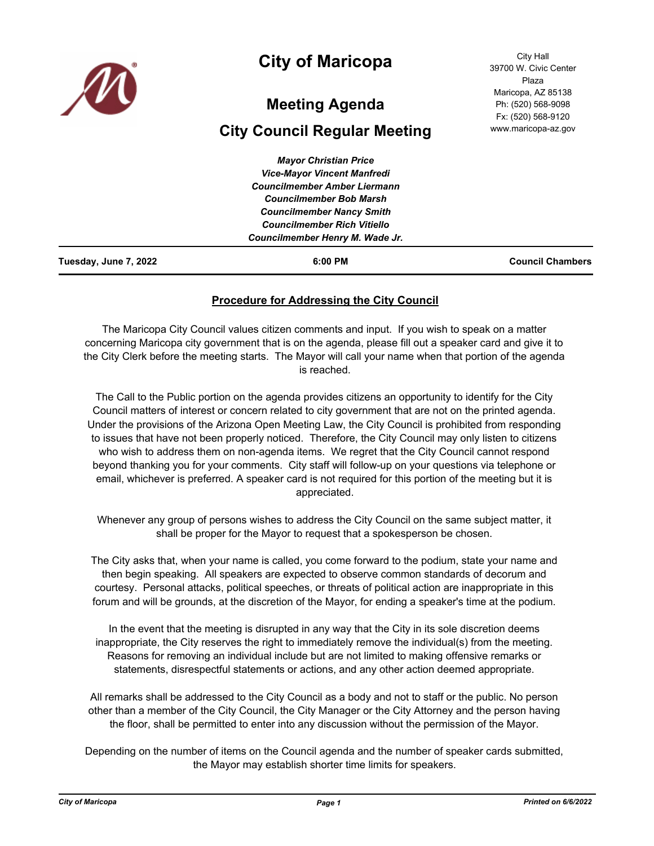

## **City of Maricopa**

# **Meeting Agenda**

## **City Council Regular Meeting**

| Tuesday, June 7, 2022 | $6:00$ PM                                                              | <b>Council Chambers</b> |
|-----------------------|------------------------------------------------------------------------|-------------------------|
|                       | Councilmember Henry M. Wade Jr.                                        |                         |
|                       | <b>Councilmember Nancy Smith</b><br><b>Councilmember Rich Vitiello</b> |                         |
|                       |                                                                        |                         |
|                       | <b>Councilmember Bob Marsh</b>                                         |                         |
|                       | <b>Councilmember Amber Liermann</b>                                    |                         |
|                       | <b>Vice-Mayor Vincent Manfredi</b>                                     |                         |
|                       | <b>Mayor Christian Price</b>                                           |                         |

## **Procedure for Addressing the City Council**

The Maricopa City Council values citizen comments and input. If you wish to speak on a matter concerning Maricopa city government that is on the agenda, please fill out a speaker card and give it to the City Clerk before the meeting starts. The Mayor will call your name when that portion of the agenda is reached.

The Call to the Public portion on the agenda provides citizens an opportunity to identify for the City Council matters of interest or concern related to city government that are not on the printed agenda. Under the provisions of the Arizona Open Meeting Law, the City Council is prohibited from responding to issues that have not been properly noticed. Therefore, the City Council may only listen to citizens who wish to address them on non-agenda items. We regret that the City Council cannot respond beyond thanking you for your comments. City staff will follow-up on your questions via telephone or email, whichever is preferred. A speaker card is not required for this portion of the meeting but it is appreciated.

Whenever any group of persons wishes to address the City Council on the same subject matter, it shall be proper for the Mayor to request that a spokesperson be chosen.

The City asks that, when your name is called, you come forward to the podium, state your name and then begin speaking. All speakers are expected to observe common standards of decorum and courtesy. Personal attacks, political speeches, or threats of political action are inappropriate in this forum and will be grounds, at the discretion of the Mayor, for ending a speaker's time at the podium.

In the event that the meeting is disrupted in any way that the City in its sole discretion deems inappropriate, the City reserves the right to immediately remove the individual(s) from the meeting. Reasons for removing an individual include but are not limited to making offensive remarks or statements, disrespectful statements or actions, and any other action deemed appropriate.

All remarks shall be addressed to the City Council as a body and not to staff or the public. No person other than a member of the City Council, the City Manager or the City Attorney and the person having the floor, shall be permitted to enter into any discussion without the permission of the Mayor.

Depending on the number of items on the Council agenda and the number of speaker cards submitted, the Mayor may establish shorter time limits for speakers.

City Hall 39700 W. Civic Center Plaza Maricopa, AZ 85138 Ph: (520) 568-9098 Fx: (520) 568-9120 www.maricopa-az.gov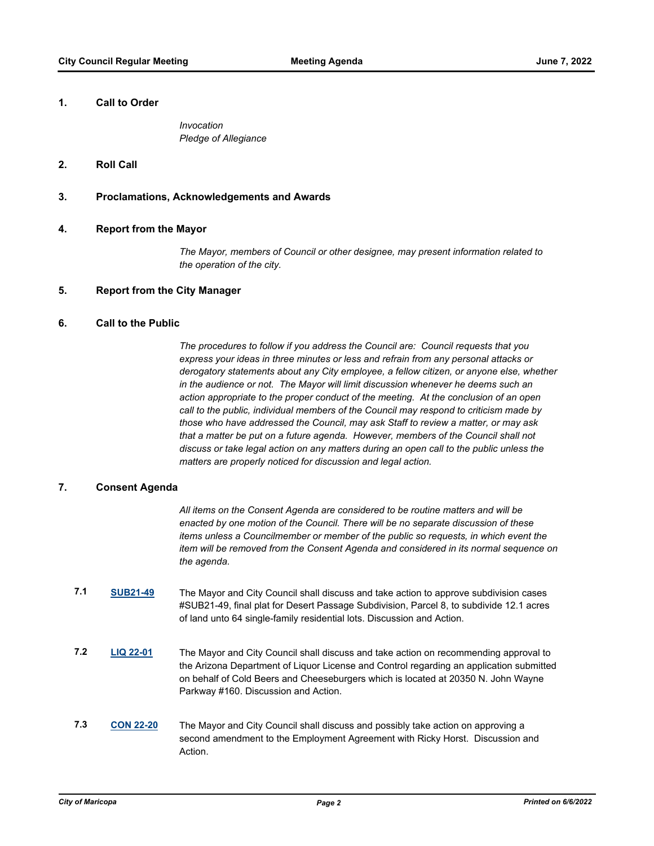#### **1. Call to Order**

*Invocation Pledge of Allegiance*

#### **2. Roll Call**

#### **3. Proclamations, Acknowledgements and Awards**

#### **4. Report from the Mayor**

*The Mayor, members of Council or other designee, may present information related to the operation of the city.*

#### **5. Report from the City Manager**

## **6. Call to the Public**

*The procedures to follow if you address the Council are: Council requests that you express your ideas in three minutes or less and refrain from any personal attacks or derogatory statements about any City employee, a fellow citizen, or anyone else, whether in the audience or not. The Mayor will limit discussion whenever he deems such an action appropriate to the proper conduct of the meeting. At the conclusion of an open call to the public, individual members of the Council may respond to criticism made by those who have addressed the Council, may ask Staff to review a matter, or may ask that a matter be put on a future agenda. However, members of the Council shall not discuss or take legal action on any matters during an open call to the public unless the matters are properly noticed for discussion and legal action.*

#### **7. Consent Agenda**

*All items on the Consent Agenda are considered to be routine matters and will be enacted by one motion of the Council. There will be no separate discussion of these items unless a Councilmember or member of the public so requests, in which event the item will be removed from the Consent Agenda and considered in its normal sequence on the agenda.*

- **7.1 [SUB21-49](http://maricopa.legistar.com/gateway.aspx?m=l&id=/matter.aspx?key=11244)** The Mayor and City Council shall discuss and take action to approve subdivision cases #SUB21-49, final plat for Desert Passage Subdivision, Parcel 8, to subdivide 12.1 acres of land unto 64 single-family residential lots. Discussion and Action.
- **7.2 [LIQ 22-01](http://maricopa.legistar.com/gateway.aspx?m=l&id=/matter.aspx?key=11269)** The Mayor and City Council shall discuss and take action on recommending approval to the Arizona Department of Liquor License and Control regarding an application submitted on behalf of Cold Beers and Cheeseburgers which is located at 20350 N. John Wayne Parkway #160. Discussion and Action.
- **7.3 [CON 22-20](http://maricopa.legistar.com/gateway.aspx?m=l&id=/matter.aspx?key=11272)** The Mayor and City Council shall discuss and possibly take action on approving a second amendment to the Employment Agreement with Ricky Horst. Discussion and Action.